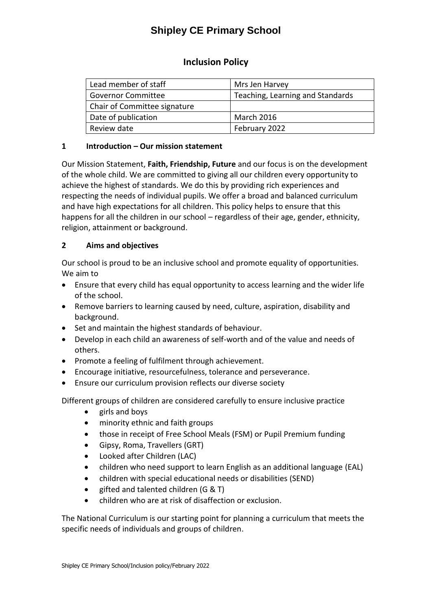# **Shipley CE Primary School**

# **Inclusion Policy**

| Lead member of staff         | Mrs Jen Harvey                   |
|------------------------------|----------------------------------|
| <b>Governor Committee</b>    | Teaching, Learning and Standards |
| Chair of Committee signature |                                  |
| Date of publication          | <b>March 2016</b>                |
| Review date                  | February 2022                    |

### **1 Introduction – Our mission statement**

Our Mission Statement, **Faith, Friendship, Future** and our focus is on the development of the whole child. We are committed to giving all our children every opportunity to achieve the highest of standards. We do this by providing rich experiences and respecting the needs of individual pupils. We offer a broad and balanced curriculum and have high expectations for all children. This policy helps to ensure that this happens for all the children in our school - regardless of their age, gender, ethnicity, religion, attainment or background.

## **2 Aims and objectives**

Our school is proud to be an inclusive school and promote equality of opportunities. We aim to

- Ensure that every child has equal opportunity to access learning and the wider life of the school.
- Remove barriers to learning caused by need, culture, aspiration, disability and background.
- Set and maintain the highest standards of behaviour.
- Develop in each child an awareness of self-worth and of the value and needs of others.
- Promote a feeling of fulfilment through achievement.
- Encourage initiative, resourcefulness, tolerance and perseverance.
- Ensure our curriculum provision reflects our diverse society

Different groups of children are considered carefully to ensure inclusive practice

- girls and boys
- minority ethnic and faith groups
- those in receipt of Free School Meals (FSM) or Pupil Premium funding
- Gipsy, Roma, Travellers (GRT)
- Looked after Children (LAC)
- children who need support to learn English as an additional language (EAL)
- children with special educational needs or disabilities (SEND)
- e gifted and talented children (G & T)
- children who are at risk of disaffection or exclusion.

The National Curriculum is our starting point for planning a curriculum that meets the specific needs of individuals and groups of children.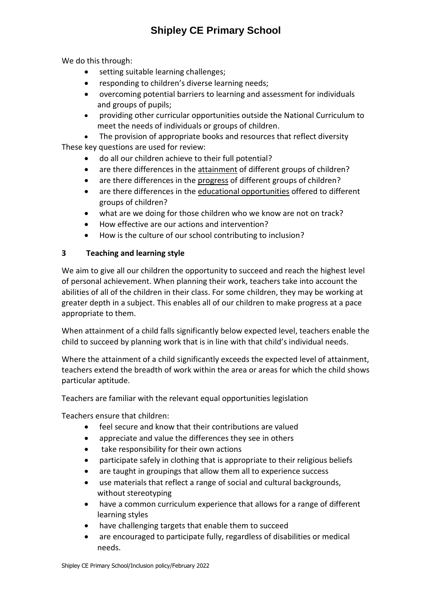# **Shipley CE Primary School**

We do this through:

- setting suitable learning challenges;
- responding to children's diverse learning needs;
- overcoming potential barriers to learning and assessment for individuals and groups of pupils;
- providing other curricular opportunities outside the National Curriculum to meet the needs of individuals or groups of children.
- The provision of appropriate books and resources that reflect diversity These key questions are used for review:
	- do all our children achieve to their full potential?
	- are there differences in the attainment of different groups of children?
	- are there differences in the progress of different groups of children?
	- are there differences in the educational opportunities offered to different groups of children?
	- what are we doing for those children who we know are not on track?
	- How effective are our actions and intervention?
	- How is the culture of our school contributing to inclusion?

## **3 Teaching and learning style**

We aim to give all our children the opportunity to succeed and reach the highest level of personal achievement. When planning their work, teachers take into account the abilities of all of the children in their class. For some children, they may be working at greater depth in a subject. This enables all of our children to make progress at a pace appropriate to them.

When attainment of a child falls significantly below expected level, teachers enable the child to succeed by planning work that is in line with that child's individual needs.

Where the attainment of a child significantly exceeds the expected level of attainment, teachers extend the breadth of work within the area or areas for which the child shows particular aptitude.

Teachers are familiar with the relevant equal opportunities legislation

Teachers ensure that children:

- feel secure and know that their contributions are valued
- appreciate and value the differences they see in others
- take responsibility for their own actions
- participate safely in clothing that is appropriate to their religious beliefs
- are taught in groupings that allow them all to experience success
- use materials that reflect a range of social and cultural backgrounds, without stereotyping
- have a common curriculum experience that allows for a range of different learning styles
- have challenging targets that enable them to succeed
- are encouraged to participate fully, regardless of disabilities or medical needs.